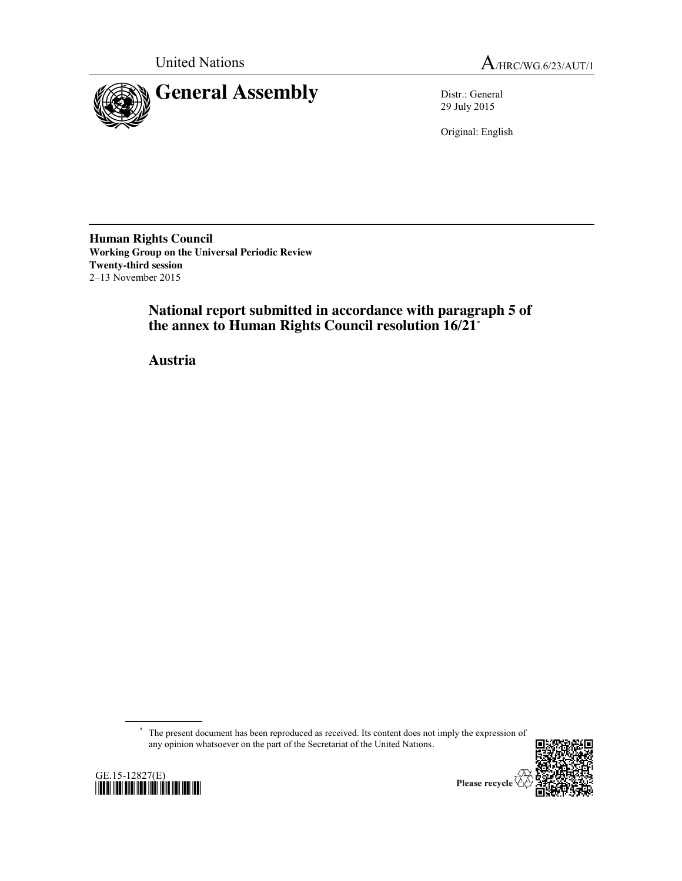



29 July 2015

Original: English

**Human Rights Council Working Group on the Universal Periodic Review Twenty-third session** 2–13 November 2015

> **National report submitted in accordance with paragraph 5 of the annex to Human Rights Council resolution 16/21**\*

**Austria**

\* The present document has been reproduced as received. Its content does not imply the expression of any opinion whatsoever on the part of the Secretariat of the United Nations.



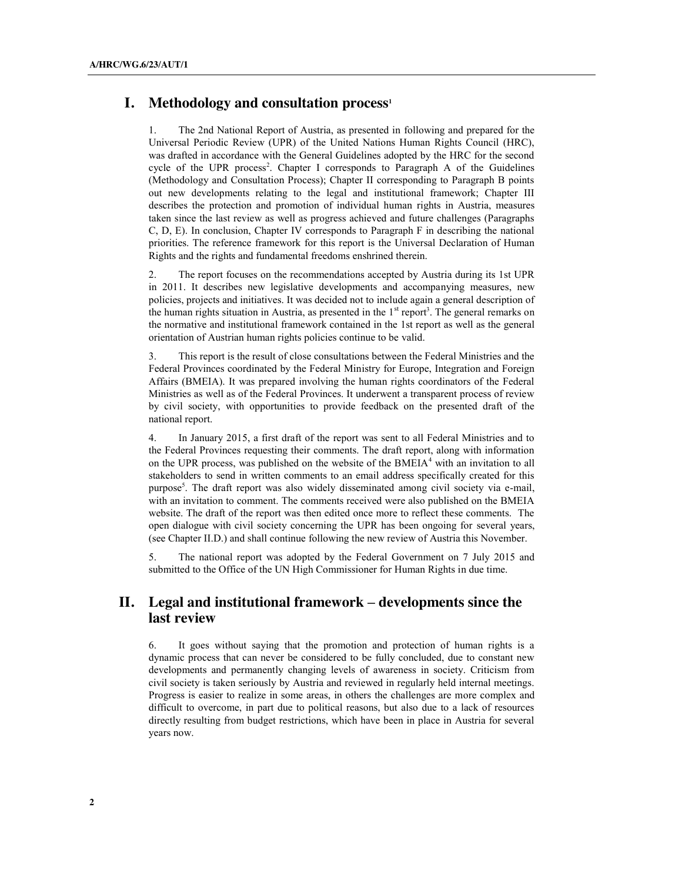## **I.** Methodology and consultation process<sup>1</sup>

1. The 2nd National Report of Austria, as presented in following and prepared for the Universal Periodic Review (UPR) of the United Nations Human Rights Council (HRC), was drafted in accordance with the General Guidelines adopted by the HRC for the second cycle of the UPR process<sup>2</sup>. Chapter I corresponds to Paragraph A of the Guidelines (Methodology and Consultation Process); Chapter II corresponding to Paragraph B points out new developments relating to the legal and institutional framework; Chapter III describes the protection and promotion of individual human rights in Austria, measures taken since the last review as well as progress achieved and future challenges (Paragraphs C, D, E). In conclusion, Chapter IV corresponds to Paragraph F in describing the national priorities. The reference framework for this report is the Universal Declaration of Human Rights and the rights and fundamental freedoms enshrined therein.

2. The report focuses on the recommendations accepted by Austria during its 1st UPR in 2011. It describes new legislative developments and accompanying measures, new policies, projects and initiatives. It was decided not to include again a general description of the human rights situation in Austria, as presented in the  $1<sup>st</sup>$  report<sup>3</sup>. The general remarks on the normative and institutional framework contained in the 1st report as well as the general orientation of Austrian human rights policies continue to be valid.

3. This report is the result of close consultations between the Federal Ministries and the Federal Provinces coordinated by the Federal Ministry for Europe, Integration and Foreign Affairs (BMEIA). It was prepared involving the human rights coordinators of the Federal Ministries as well as of the Federal Provinces. It underwent a transparent process of review by civil society, with opportunities to provide feedback on the presented draft of the national report.

4. In January 2015, a first draft of the report was sent to all Federal Ministries and to the Federal Provinces requesting their comments. The draft report, along with information on the UPR process, was published on the website of the BMEIA<sup>4</sup> with an invitation to all stakeholders to send in written comments to an email address specifically created for this purpose<sup>5</sup>. The draft report was also widely disseminated among civil society via e-mail, with an invitation to comment. The comments received were also published on the BMEIA website. The draft of the report was then edited once more to reflect these comments. The open dialogue with civil society concerning the UPR has been ongoing for several years, (see Chapter II.D.) and shall continue following the new review of Austria this November.

5. The national report was adopted by the Federal Government on 7 July 2015 and submitted to the Office of the UN High Commissioner for Human Rights in due time.

# **II. Legal and institutional framework – developments since the last review**

6. It goes without saying that the promotion and protection of human rights is a dynamic process that can never be considered to be fully concluded, due to constant new developments and permanently changing levels of awareness in society. Criticism from civil society is taken seriously by Austria and reviewed in regularly held internal meetings. Progress is easier to realize in some areas, in others the challenges are more complex and difficult to overcome, in part due to political reasons, but also due to a lack of resources directly resulting from budget restrictions, which have been in place in Austria for several years now.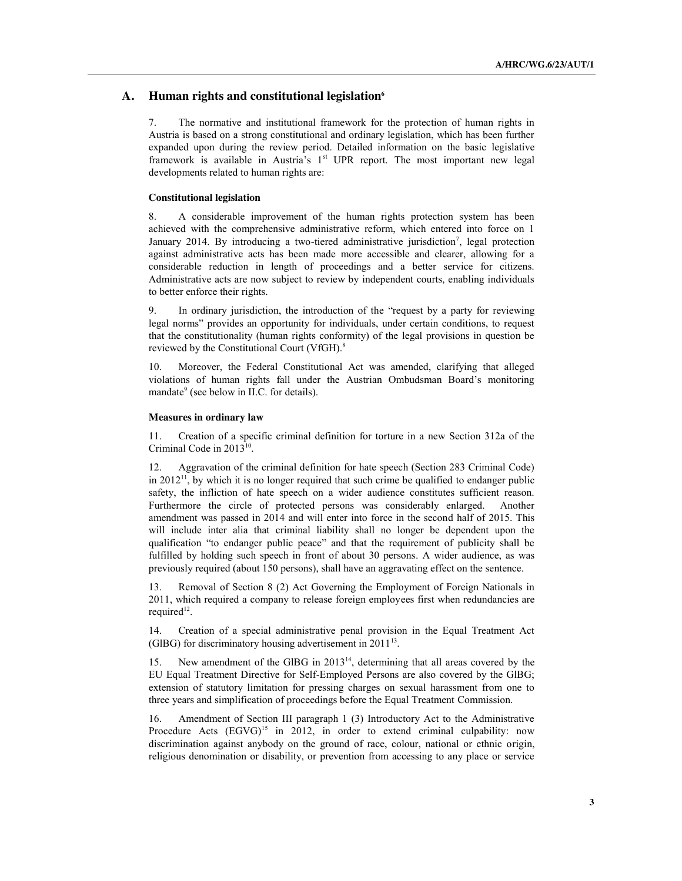## A. **Human rights and constitutional legislation**<sup>6</sup>

7. The normative and institutional framework for the protection of human rights in Austria is based on a strong constitutional and ordinary legislation, which has been further expanded upon during the review period. Detailed information on the basic legislative framework is available in Austria's  $1<sup>st</sup>$  UPR report. The most important new legal developments related to human rights are:

#### **Constitutional legislation**

8. A considerable improvement of the human rights protection system has been achieved with the comprehensive administrative reform, which entered into force on 1 January 2014. By introducing a two-tiered administrative jurisdiction<sup>7</sup>, legal protection against administrative acts has been made more accessible and clearer, allowing for a considerable reduction in length of proceedings and a better service for citizens. Administrative acts are now subject to review by independent courts, enabling individuals to better enforce their rights.

In ordinary jurisdiction, the introduction of the "request by a party for reviewing legal norms" provides an opportunity for individuals, under certain conditions, to request that the constitutionality (human rights conformity) of the legal provisions in question be reviewed by the Constitutional Court (VfGH).8

10. Moreover, the Federal Constitutional Act was amended, clarifying that alleged violations of human rights fall under the Austrian Ombudsman Board's monitoring mandate<sup>9</sup> (see below in II.C. for details).

#### **Measures in ordinary law**

11. Creation of a specific criminal definition for torture in a new Section 312a of the Criminal Code in 2013<sup>10</sup>.

12. Aggravation of the criminal definition for hate speech (Section 283 Criminal Code) in 2012<sup>11</sup>, by which it is no longer required that such crime be qualified to endanger public safety, the infliction of hate speech on a wider audience constitutes sufficient reason. Furthermore the circle of protected persons was considerably enlarged. Another amendment was passed in 2014 and will enter into force in the second half of 2015. This will include inter alia that criminal liability shall no longer be dependent upon the qualification "to endanger public peace" and that the requirement of publicity shall be fulfilled by holding such speech in front of about 30 persons. A wider audience, as was previously required (about 150 persons), shall have an aggravating effect on the sentence.

13. Removal of Section 8 (2) Act Governing the Employment of Foreign Nationals in 2011, which required a company to release foreign employees first when redundancies are required<sup>12</sup>.

14. Creation of a special administrative penal provision in the Equal Treatment Act (GlBG) for discriminatory housing advertisement in  $2011^{13}$ .

15. New amendment of the GlBG in 201314, determining that all areas covered by the EU Equal Treatment Directive for Self-Employed Persons are also covered by the GlBG; extension of statutory limitation for pressing charges on sexual harassment from one to three years and simplification of proceedings before the Equal Treatment Commission.

16. Amendment of Section III paragraph 1 (3) Introductory Act to the Administrative Procedure Acts  $(EGVG)^{15}$  in 2012, in order to extend criminal culpability: now discrimination against anybody on the ground of race, colour, national or ethnic origin, religious denomination or disability, or prevention from accessing to any place or service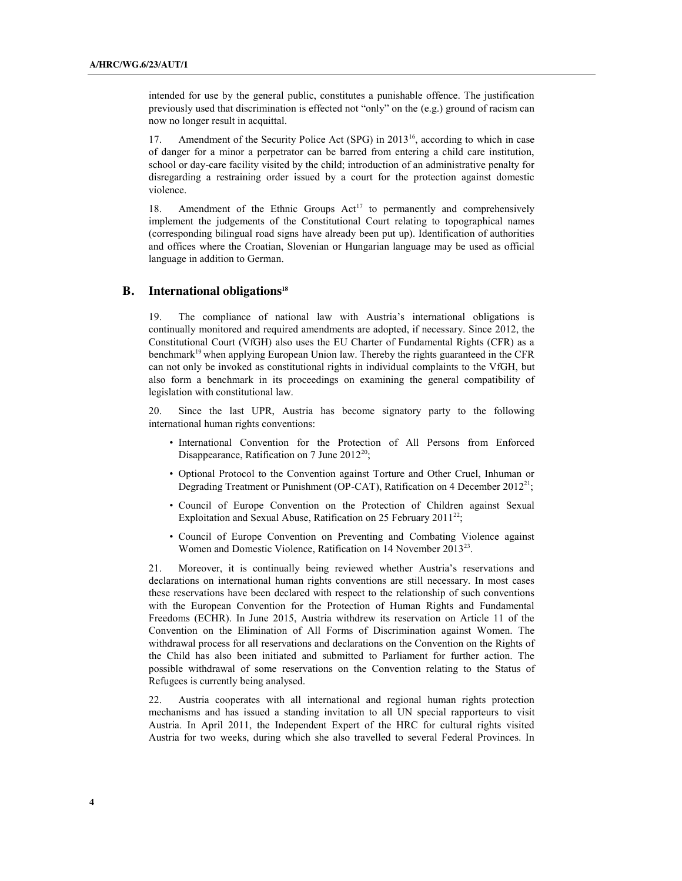intended for use by the general public, constitutes a punishable offence. The justification previously used that discrimination is effected not "only" on the (e.g.) ground of racism can now no longer result in acquittal.

17. Amendment of the Security Police Act (SPG) in 2013<sup>16</sup>, according to which in case of danger for a minor a perpetrator can be barred from entering a child care institution, school or day-care facility visited by the child; introduction of an administrative penalty for disregarding a restraining order issued by a court for the protection against domestic violence.

18. Amendment of the Ethnic Groups  $Act^{17}$  to permanently and comprehensively implement the judgements of the Constitutional Court relating to topographical names (corresponding bilingual road signs have already been put up). Identification of authorities and offices where the Croatian, Slovenian or Hungarian language may be used as official language in addition to German.

#### **B.** International obligations<sup>18</sup>

19. The compliance of national law with Austria's international obligations is continually monitored and required amendments are adopted, if necessary. Since 2012, the Constitutional Court (VfGH) also uses the EU Charter of Fundamental Rights (CFR) as a benchmark<sup>19</sup> when applying European Union law. Thereby the rights guaranteed in the CFR can not only be invoked as constitutional rights in individual complaints to the VfGH, but also form a benchmark in its proceedings on examining the general compatibility of legislation with constitutional law.

Since the last UPR, Austria has become signatory party to the following international human rights conventions:

- International Convention for the Protection of All Persons from Enforced Disappearance, Ratification on 7 June  $2012^{20}$ ;
- Optional Protocol to the Convention against Torture and Other Cruel, Inhuman or Degrading Treatment or Punishment (OP-CAT), Ratification on 4 December 2012<sup>21</sup>;
- Council of Europe Convention on the Protection of Children against Sexual Exploitation and Sexual Abuse, Ratification on 25 February  $2011^{22}$ ;
- Council of Europe Convention on Preventing and Combating Violence against Women and Domestic Violence, Ratification on 14 November 2013<sup>23</sup>.

21. Moreover, it is continually being reviewed whether Austria's reservations and declarations on international human rights conventions are still necessary. In most cases these reservations have been declared with respect to the relationship of such conventions with the European Convention for the Protection of Human Rights and Fundamental Freedoms (ECHR). In June 2015, Austria withdrew its reservation on Article 11 of the Convention on the Elimination of All Forms of Discrimination against Women. The withdrawal process for all reservations and declarations on the Convention on the Rights of the Child has also been initiated and submitted to Parliament for further action. The possible withdrawal of some reservations on the Convention relating to the Status of Refugees is currently being analysed.

22. Austria cooperates with all international and regional human rights protection mechanisms and has issued a standing invitation to all UN special rapporteurs to visit Austria. In April 2011, the Independent Expert of the HRC for cultural rights visited Austria for two weeks, during which she also travelled to several Federal Provinces. In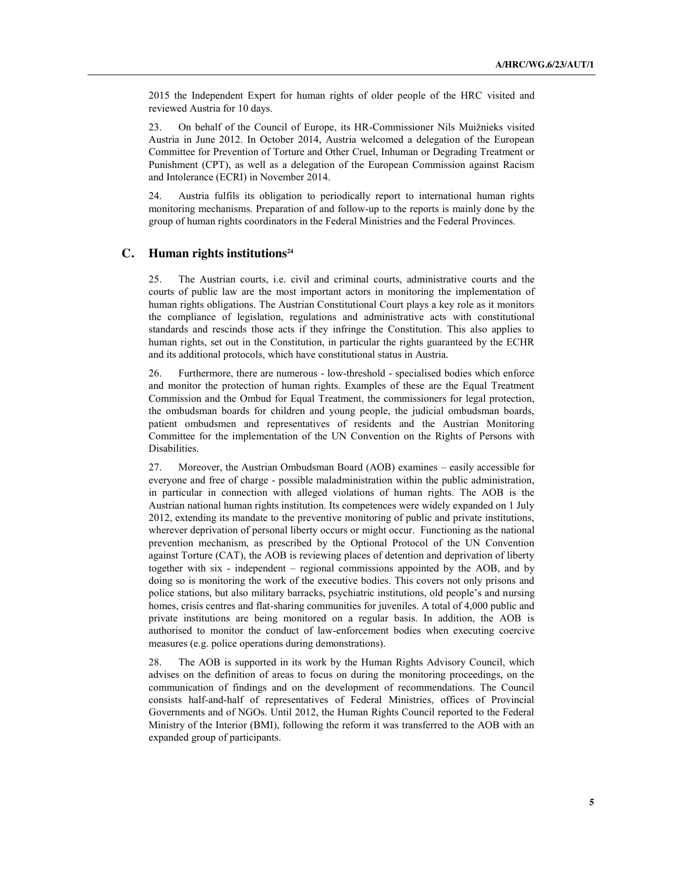2015 the Independent Expert for human rights of older people of the HRC visited and reviewed Austria for 10 days.

23. On behalf of the Council of Europe, its HR-Commissioner Nils Muižnieks visited Austria in June 2012. In October 2014, Austria welcomed a delegation of the European Committee for Prevention of Torture and Other Cruel, Inhuman or Degrading Treatment or Punishment (CPT), as well as a delegation of the European Commission against Racism and Intolerance (ECRI) in November 2014.

24. Austria fulfils its obligation to periodically report to international human rights monitoring mechanisms. Preparation of and follow-up to the reports is mainly done by the group of human rights coordinators in the Federal Ministries and the Federal Provinces.

## **C. Human rights institutions**<sup>24</sup>

25. The Austrian courts, i.e. civil and criminal courts, administrative courts and the courts of public law are the most important actors in monitoring the implementation of human rights obligations. The Austrian Constitutional Court plays a key role as it monitors the compliance of legislation, regulations and administrative acts with constitutional standards and rescinds those acts if they infringe the Constitution. This also applies to human rights, set out in the Constitution, in particular the rights guaranteed by the ECHR and its additional protocols, which have constitutional status in Austria.

26. Furthermore, there are numerous - low-threshold - specialised bodies which enforce and monitor the protection of human rights. Examples of these are the Equal Treatment Commission and the Ombud for Equal Treatment, the commissioners for legal protection, the ombudsman boards for children and young people, the judicial ombudsman boards, patient ombudsmen and representatives of residents and the Austrian Monitoring Committee for the implementation of the UN Convention on the Rights of Persons with Disabilities.

27. Moreover, the Austrian Ombudsman Board (AOB) examines – easily accessible for everyone and free of charge - possible maladministration within the public administration, in particular in connection with alleged violations of human rights. The AOB is the Austrian national human rights institution. Its competences were widely expanded on 1 July 2012, extending its mandate to the preventive monitoring of public and private institutions, wherever deprivation of personal liberty occurs or might occur. Functioning as the national prevention mechanism, as prescribed by the Optional Protocol of the UN Convention against Torture (CAT), the AOB is reviewing places of detention and deprivation of liberty together with six - independent – regional commissions appointed by the AOB, and by doing so is monitoring the work of the executive bodies. This covers not only prisons and police stations, but also military barracks, psychiatric institutions, old people's and nursing homes, crisis centres and flat-sharing communities for juveniles. A total of 4,000 public and private institutions are being monitored on a regular basis. In addition, the AOB is authorised to monitor the conduct of law-enforcement bodies when executing coercive measures (e.g. police operations during demonstrations).

28. The AOB is supported in its work by the Human Rights Advisory Council, which advises on the definition of areas to focus on during the monitoring proceedings, on the communication of findings and on the development of recommendations. The Council consists half-and-half of representatives of Federal Ministries, offices of Provincial Governments and of NGOs. Until 2012, the Human Rights Council reported to the Federal Ministry of the Interior (BMI), following the reform it was transferred to the AOB with an expanded group of participants.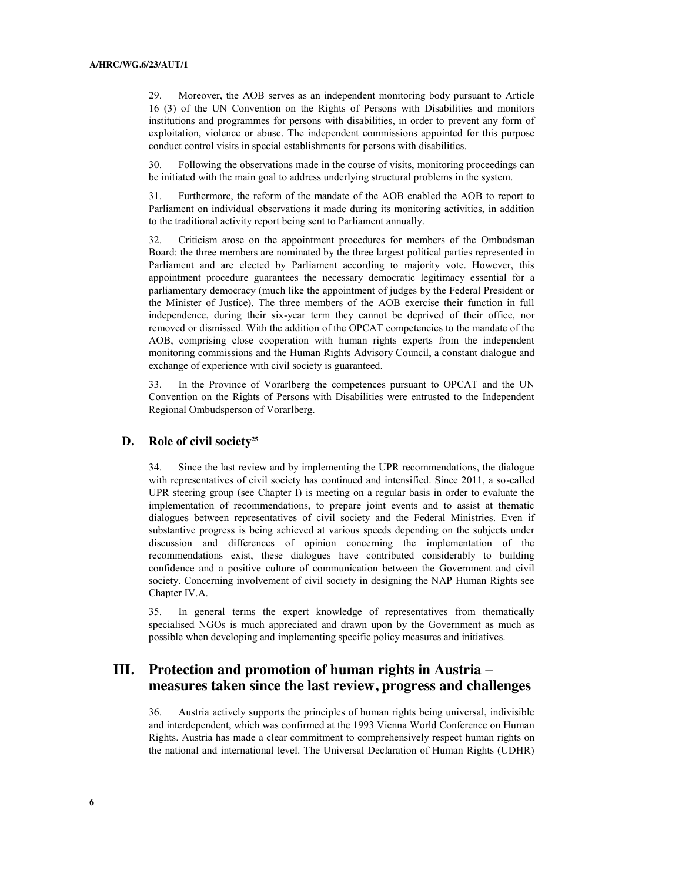29. Moreover, the AOB serves as an independent monitoring body pursuant to Article 16 (3) of the UN Convention on the Rights of Persons with Disabilities and monitors institutions and programmes for persons with disabilities, in order to prevent any form of exploitation, violence or abuse. The independent commissions appointed for this purpose conduct control visits in special establishments for persons with disabilities.

30. Following the observations made in the course of visits, monitoring proceedings can be initiated with the main goal to address underlying structural problems in the system.

31. Furthermore, the reform of the mandate of the AOB enabled the AOB to report to Parliament on individual observations it made during its monitoring activities, in addition to the traditional activity report being sent to Parliament annually.

32. Criticism arose on the appointment procedures for members of the Ombudsman Board: the three members are nominated by the three largest political parties represented in Parliament and are elected by Parliament according to majority vote. However, this appointment procedure guarantees the necessary democratic legitimacy essential for a parliamentary democracy (much like the appointment of judges by the Federal President or the Minister of Justice). The three members of the AOB exercise their function in full independence, during their six-year term they cannot be deprived of their office, nor removed or dismissed. With the addition of the OPCAT competencies to the mandate of the AOB, comprising close cooperation with human rights experts from the independent monitoring commissions and the Human Rights Advisory Council, a constant dialogue and exchange of experience with civil society is guaranteed.

33. In the Province of Vorarlberg the competences pursuant to OPCAT and the UN Convention on the Rights of Persons with Disabilities were entrusted to the Independent Regional Ombudsperson of Vorarlberg.

## **D. Role of civil society25**

34. Since the last review and by implementing the UPR recommendations, the dialogue with representatives of civil society has continued and intensified. Since 2011, a so-called UPR steering group (see Chapter I) is meeting on a regular basis in order to evaluate the implementation of recommendations, to prepare joint events and to assist at thematic dialogues between representatives of civil society and the Federal Ministries. Even if substantive progress is being achieved at various speeds depending on the subjects under discussion and differences of opinion concerning the implementation of the recommendations exist, these dialogues have contributed considerably to building confidence and a positive culture of communication between the Government and civil society. Concerning involvement of civil society in designing the NAP Human Rights see Chapter IV.A.

35. In general terms the expert knowledge of representatives from thematically specialised NGOs is much appreciated and drawn upon by the Government as much as possible when developing and implementing specific policy measures and initiatives.

# **III. Protection and promotion of human rights in Austria – measures taken since the last review, progress and challenges**

36. Austria actively supports the principles of human rights being universal, indivisible and interdependent, which was confirmed at the 1993 Vienna World Conference on Human Rights. Austria has made a clear commitment to comprehensively respect human rights on the national and international level. The Universal Declaration of Human Rights (UDHR)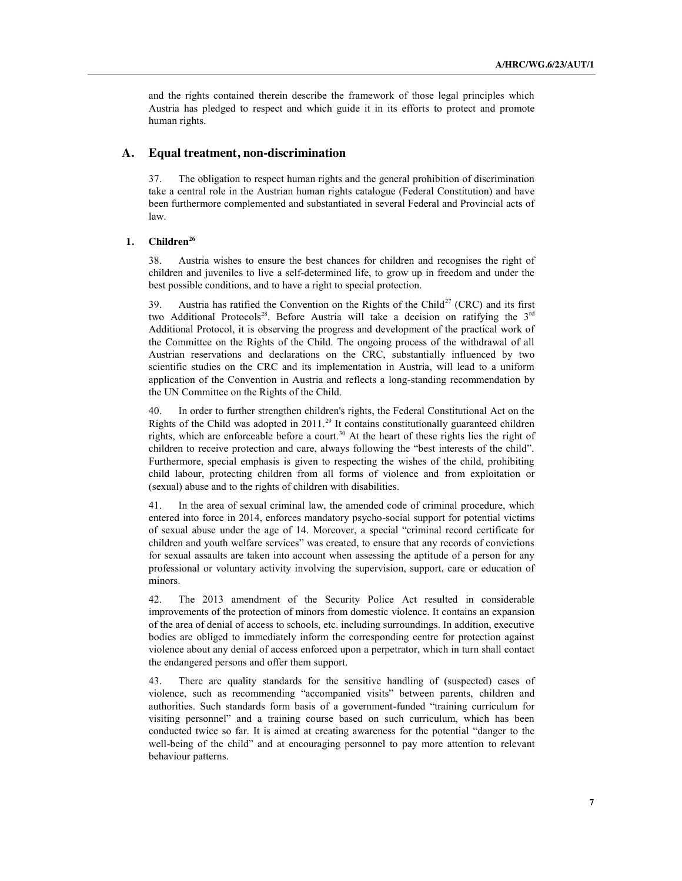and the rights contained therein describe the framework of those legal principles which Austria has pledged to respect and which guide it in its efforts to protect and promote human rights.

## **A. Equal treatment, non-discrimination**

37. The obligation to respect human rights and the general prohibition of discrimination take a central role in the Austrian human rights catalogue (Federal Constitution) and have been furthermore complemented and substantiated in several Federal and Provincial acts of law.

#### **1. Children<sup>26</sup>**

38. Austria wishes to ensure the best chances for children and recognises the right of children and juveniles to live a self-determined life, to grow up in freedom and under the best possible conditions, and to have a right to special protection.

39. Austria has ratified the Convention on the Rights of the Child<sup>27</sup> (CRC) and its first two Additional Protocols<sup>28</sup>. Before Austria will take a decision on ratifying the  $3^{rd}$ Additional Protocol, it is observing the progress and development of the practical work of the Committee on the Rights of the Child. The ongoing process of the withdrawal of all Austrian reservations and declarations on the CRC, substantially influenced by two scientific studies on the CRC and its implementation in Austria, will lead to a uniform application of the Convention in Austria and reflects a long-standing recommendation by the UN Committee on the Rights of the Child.

40. In order to further strengthen children's rights, the Federal Constitutional Act on the Rights of the Child was adopted in 2011.<sup>29</sup> It contains constitutionally guaranteed children rights, which are enforceable before a court.<sup>30</sup> At the heart of these rights lies the right of children to receive protection and care, always following the "best interests of the child". Furthermore, special emphasis is given to respecting the wishes of the child, prohibiting child labour, protecting children from all forms of violence and from exploitation or (sexual) abuse and to the rights of children with disabilities.

41. In the area of sexual criminal law, the amended code of criminal procedure, which entered into force in 2014, enforces mandatory psycho-social support for potential victims of sexual abuse under the age of 14. Moreover, a special "criminal record certificate for children and youth welfare services" was created, to ensure that any records of convictions for sexual assaults are taken into account when assessing the aptitude of a person for any professional or voluntary activity involving the supervision, support, care or education of minors.

42. The 2013 amendment of the Security Police Act resulted in considerable improvements of the protection of minors from domestic violence. It contains an expansion of the area of denial of access to schools, etc. including surroundings. In addition, executive bodies are obliged to immediately inform the corresponding centre for protection against violence about any denial of access enforced upon a perpetrator, which in turn shall contact the endangered persons and offer them support.

43. There are quality standards for the sensitive handling of (suspected) cases of violence, such as recommending "accompanied visits" between parents, children and authorities. Such standards form basis of a government-funded "training curriculum for visiting personnel" and a training course based on such curriculum, which has been conducted twice so far. It is aimed at creating awareness for the potential "danger to the well-being of the child" and at encouraging personnel to pay more attention to relevant behaviour patterns.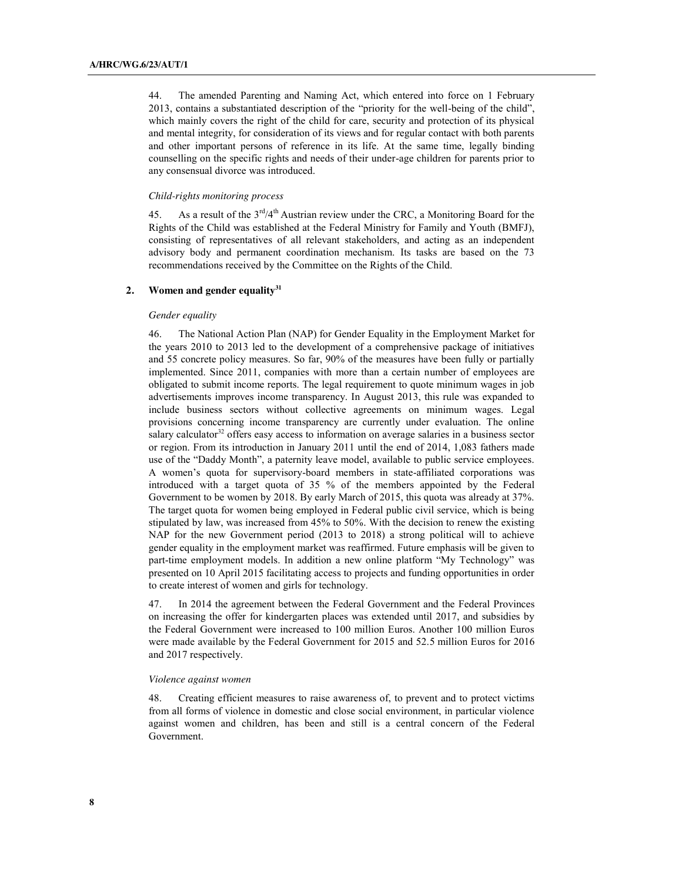44. The amended Parenting and Naming Act, which entered into force on 1 February 2013, contains a substantiated description of the "priority for the well-being of the child", which mainly covers the right of the child for care, security and protection of its physical and mental integrity, for consideration of its views and for regular contact with both parents and other important persons of reference in its life. At the same time, legally binding counselling on the specific rights and needs of their under-age children for parents prior to any consensual divorce was introduced.

#### *Child-rights monitoring process*

45. As a result of the  $3<sup>rd</sup>/4<sup>th</sup>$  Austrian review under the CRC, a Monitoring Board for the Rights of the Child was established at the Federal Ministry for Family and Youth (BMFJ), consisting of representatives of all relevant stakeholders, and acting as an independent advisory body and permanent coordination mechanism. Its tasks are based on the 73 recommendations received by the Committee on the Rights of the Child.

#### 2. Women and gender equality<sup>31</sup>

#### *Gender equality*

46. The National Action Plan (NAP) for Gender Equality in the Employment Market for the years 2010 to 2013 led to the development of a comprehensive package of initiatives and 55 concrete policy measures. So far, 90% of the measures have been fully or partially implemented. Since 2011, companies with more than a certain number of employees are obligated to submit income reports. The legal requirement to quote minimum wages in job advertisements improves income transparency. In August 2013, this rule was expanded to include business sectors without collective agreements on minimum wages. Legal provisions concerning income transparency are currently under evaluation. The online salary calculator<sup>32</sup> offers easy access to information on average salaries in a business sector or region. From its introduction in January 2011 until the end of 2014, 1,083 fathers made use of the "Daddy Month", a paternity leave model, available to public service employees. A women's quota for supervisory-board members in state-affiliated corporations was introduced with a target quota of 35 % of the members appointed by the Federal Government to be women by 2018. By early March of 2015, this quota was already at 37%. The target quota for women being employed in Federal public civil service, which is being stipulated by law, was increased from 45% to 50%. With the decision to renew the existing NAP for the new Government period (2013 to 2018) a strong political will to achieve gender equality in the employment market was reaffirmed. Future emphasis will be given to part-time employment models. In addition a new online platform "My Technology" was presented on 10 April 2015 facilitating access to projects and funding opportunities in order to create interest of women and girls for technology.

47. In 2014 the agreement between the Federal Government and the Federal Provinces on increasing the offer for kindergarten places was extended until 2017, and subsidies by the Federal Government were increased to 100 million Euros. Another 100 million Euros were made available by the Federal Government for 2015 and 52.5 million Euros for 2016 and 2017 respectively.

#### *Violence against women*

48. Creating efficient measures to raise awareness of, to prevent and to protect victims from all forms of violence in domestic and close social environment, in particular violence against women and children, has been and still is a central concern of the Federal Government.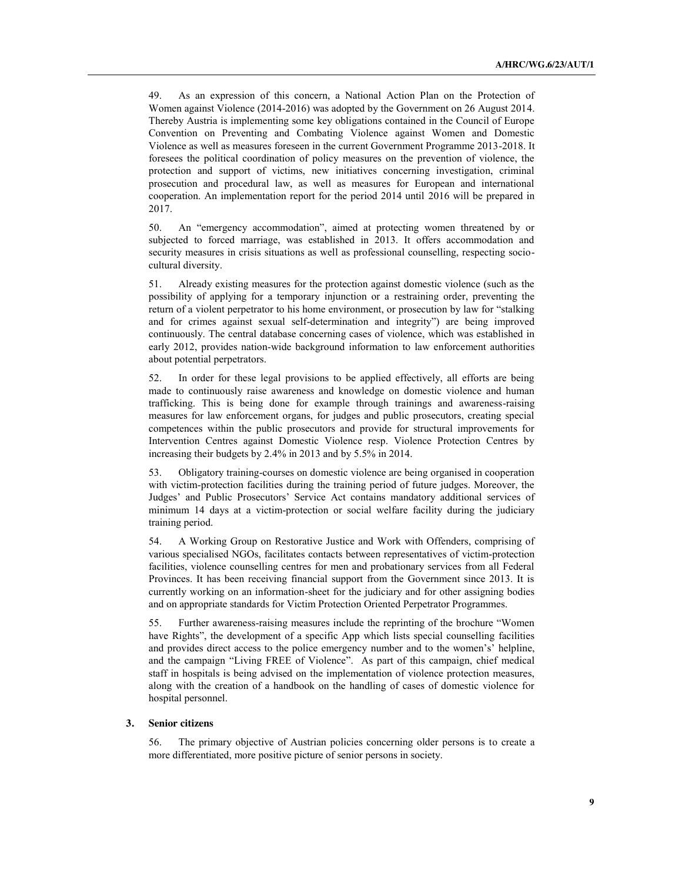49. As an expression of this concern, a National Action Plan on the Protection of Women against Violence (2014-2016) was adopted by the Government on 26 August 2014. Thereby Austria is implementing some key obligations contained in the Council of Europe Convention on Preventing and Combating Violence against Women and Domestic Violence as well as measures foreseen in the current Government Programme 2013-2018. It foresees the political coordination of policy measures on the prevention of violence, the protection and support of victims, new initiatives concerning investigation, criminal prosecution and procedural law, as well as measures for European and international cooperation. An implementation report for the period 2014 until 2016 will be prepared in 2017.

50. An "emergency accommodation", aimed at protecting women threatened by or subjected to forced marriage, was established in 2013. It offers accommodation and security measures in crisis situations as well as professional counselling, respecting sociocultural diversity.

51. Already existing measures for the protection against domestic violence (such as the possibility of applying for a temporary injunction or a restraining order, preventing the return of a violent perpetrator to his home environment, or prosecution by law for "stalking and for crimes against sexual self-determination and integrity") are being improved continuously. The central database concerning cases of violence, which was established in early 2012, provides nation-wide background information to law enforcement authorities about potential perpetrators.

52. In order for these legal provisions to be applied effectively, all efforts are being made to continuously raise awareness and knowledge on domestic violence and human trafficking. This is being done for example through trainings and awareness-raising measures for law enforcement organs, for judges and public prosecutors, creating special competences within the public prosecutors and provide for structural improvements for Intervention Centres against Domestic Violence resp. Violence Protection Centres by increasing their budgets by 2.4% in 2013 and by 5.5% in 2014.

53. Obligatory training-courses on domestic violence are being organised in cooperation with victim-protection facilities during the training period of future judges. Moreover, the Judges' and Public Prosecutors' Service Act contains mandatory additional services of minimum 14 days at a victim-protection or social welfare facility during the judiciary training period.

54. A Working Group on Restorative Justice and Work with Offenders, comprising of various specialised NGOs, facilitates contacts between representatives of victim-protection facilities, violence counselling centres for men and probationary services from all Federal Provinces. It has been receiving financial support from the Government since 2013. It is currently working on an information-sheet for the judiciary and for other assigning bodies and on appropriate standards for Victim Protection Oriented Perpetrator Programmes.

55. Further awareness-raising measures include the reprinting of the brochure "Women have Rights", the development of a specific App which lists special counselling facilities and provides direct access to the police emergency number and to the women's' helpline, and the campaign "Living FREE of Violence". As part of this campaign, chief medical staff in hospitals is being advised on the implementation of violence protection measures, along with the creation of a handbook on the handling of cases of domestic violence for hospital personnel.

## **3. Senior citizens**

56. The primary objective of Austrian policies concerning older persons is to create a more differentiated, more positive picture of senior persons in society.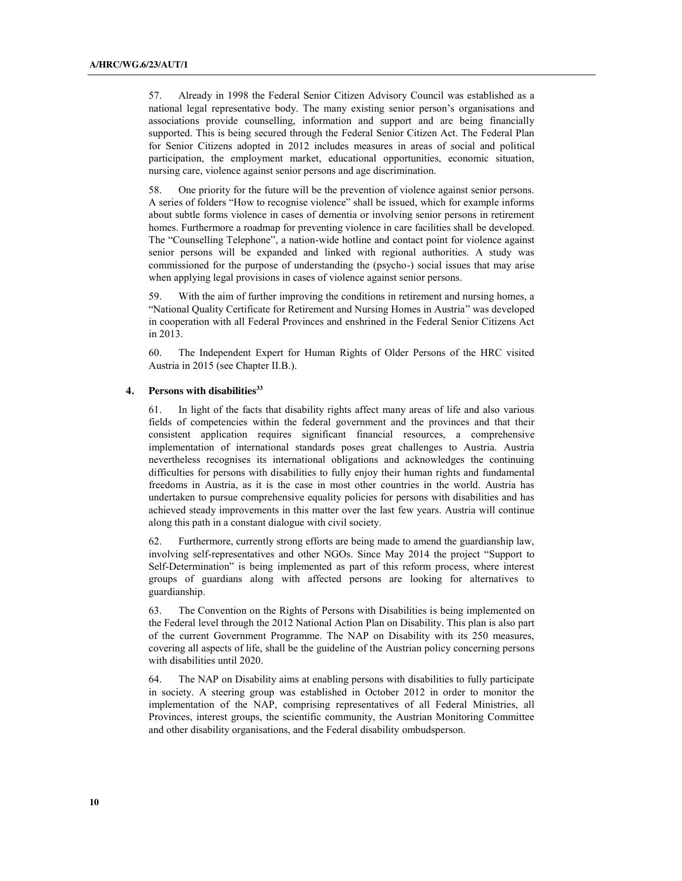57. Already in 1998 the Federal Senior Citizen Advisory Council was established as a national legal representative body. The many existing senior person's organisations and associations provide counselling, information and support and are being financially supported. This is being secured through the Federal Senior Citizen Act. The Federal Plan for Senior Citizens adopted in 2012 includes measures in areas of social and political participation, the employment market, educational opportunities, economic situation, nursing care, violence against senior persons and age discrimination.

58. One priority for the future will be the prevention of violence against senior persons. A series of folders "How to recognise violence" shall be issued, which for example informs about subtle forms violence in cases of dementia or involving senior persons in retirement homes. Furthermore a roadmap for preventing violence in care facilities shall be developed. The "Counselling Telephone", a nation-wide hotline and contact point for violence against senior persons will be expanded and linked with regional authorities. A study was commissioned for the purpose of understanding the (psycho-) social issues that may arise when applying legal provisions in cases of violence against senior persons.

With the aim of further improving the conditions in retirement and nursing homes, a "National Quality Certificate for Retirement and Nursing Homes in Austria" was developed in cooperation with all Federal Provinces and enshrined in the Federal Senior Citizens Act in 2013.

60. The Independent Expert for Human Rights of Older Persons of the HRC visited Austria in 2015 (see Chapter II.B.).

## **4. Persons with disabilities33**

61. In light of the facts that disability rights affect many areas of life and also various fields of competencies within the federal government and the provinces and that their consistent application requires significant financial resources, a comprehensive implementation of international standards poses great challenges to Austria. Austria nevertheless recognises its international obligations and acknowledges the continuing difficulties for persons with disabilities to fully enjoy their human rights and fundamental freedoms in Austria, as it is the case in most other countries in the world. Austria has undertaken to pursue comprehensive equality policies for persons with disabilities and has achieved steady improvements in this matter over the last few years. Austria will continue along this path in a constant dialogue with civil society.

62. Furthermore, currently strong efforts are being made to amend the guardianship law, involving self-representatives and other NGOs. Since May 2014 the project "Support to Self-Determination" is being implemented as part of this reform process, where interest groups of guardians along with affected persons are looking for alternatives to guardianship.

63. The Convention on the Rights of Persons with Disabilities is being implemented on the Federal level through the 2012 National Action Plan on Disability. This plan is also part of the current Government Programme. The NAP on Disability with its 250 measures, covering all aspects of life, shall be the guideline of the Austrian policy concerning persons with disabilities until 2020.

64. The NAP on Disability aims at enabling persons with disabilities to fully participate in society. A steering group was established in October 2012 in order to monitor the implementation of the NAP, comprising representatives of all Federal Ministries, all Provinces, interest groups, the scientific community, the Austrian Monitoring Committee and other disability organisations, and the Federal disability ombudsperson.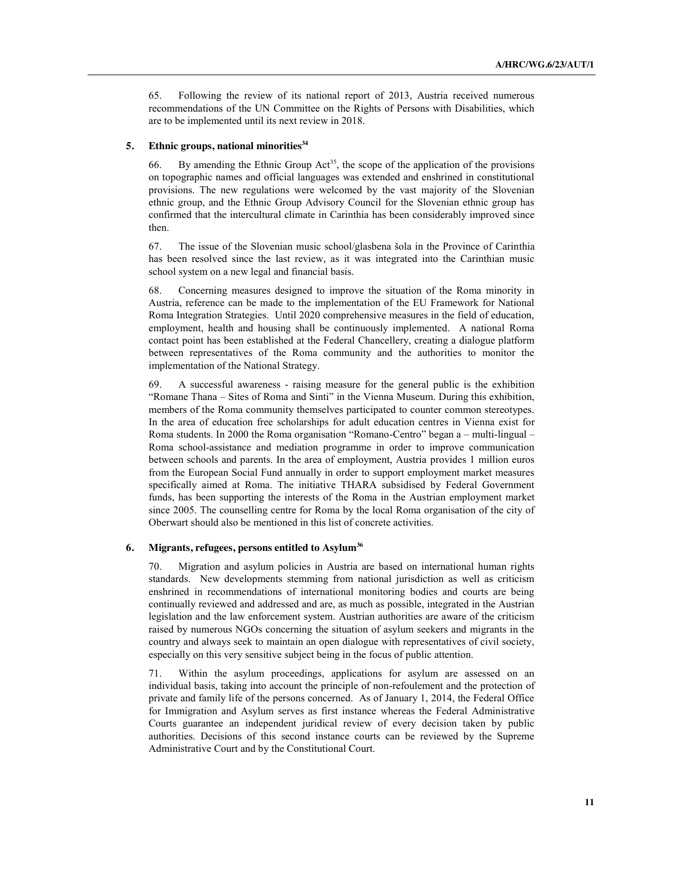65. Following the review of its national report of 2013, Austria received numerous recommendations of the UN Committee on the Rights of Persons with Disabilities, which are to be implemented until its next review in 2018.

#### **5. Ethnic groups, national minorities34**

66. By amending the Ethnic Group Act<sup>35</sup>, the scope of the application of the provisions on topographic names and official languages was extended and enshrined in constitutional provisions. The new regulations were welcomed by the vast majority of the Slovenian ethnic group, and the Ethnic Group Advisory Council for the Slovenian ethnic group has confirmed that the intercultural climate in Carinthia has been considerably improved since then.

67. The issue of the Slovenian music school/glasbena šola in the Province of Carinthia has been resolved since the last review, as it was integrated into the Carinthian music school system on a new legal and financial basis.

68. Concerning measures designed to improve the situation of the Roma minority in Austria, reference can be made to the implementation of the EU Framework for National Roma Integration Strategies. Until 2020 comprehensive measures in the field of education, employment, health and housing shall be continuously implemented. A national Roma contact point has been established at the Federal Chancellery, creating a dialogue platform between representatives of the Roma community and the authorities to monitor the implementation of the National Strategy.

69. A successful awareness - raising measure for the general public is the exhibition "Romane Thana – Sites of Roma and Sinti" in the Vienna Museum. During this exhibition, members of the Roma community themselves participated to counter common stereotypes. In the area of education free scholarships for adult education centres in Vienna exist for Roma students. In 2000 the Roma organisation "Romano-Centro" began a – multi-lingual – Roma school-assistance and mediation programme in order to improve communication between schools and parents. In the area of employment, Austria provides 1 million euros from the European Social Fund annually in order to support employment market measures specifically aimed at Roma. The initiative THARA subsidised by Federal Government funds, has been supporting the interests of the Roma in the Austrian employment market since 2005. The counselling centre for Roma by the local Roma organisation of the city of Oberwart should also be mentioned in this list of concrete activities.

#### **6. Migrants, refugees, persons entitled to Asylum36**

70. Migration and asylum policies in Austria are based on international human rights standards. New developments stemming from national jurisdiction as well as criticism enshrined in recommendations of international monitoring bodies and courts are being continually reviewed and addressed and are, as much as possible, integrated in the Austrian legislation and the law enforcement system. Austrian authorities are aware of the criticism raised by numerous NGOs concerning the situation of asylum seekers and migrants in the country and always seek to maintain an open dialogue with representatives of civil society, especially on this very sensitive subject being in the focus of public attention.

71. Within the asylum proceedings, applications for asylum are assessed on an individual basis, taking into account the principle of non-refoulement and the protection of private and family life of the persons concerned. As of January 1, 2014, the Federal Office for Immigration and Asylum serves as first instance whereas the Federal Administrative Courts guarantee an independent juridical review of every decision taken by public authorities. Decisions of this second instance courts can be reviewed by the Supreme Administrative Court and by the Constitutional Court.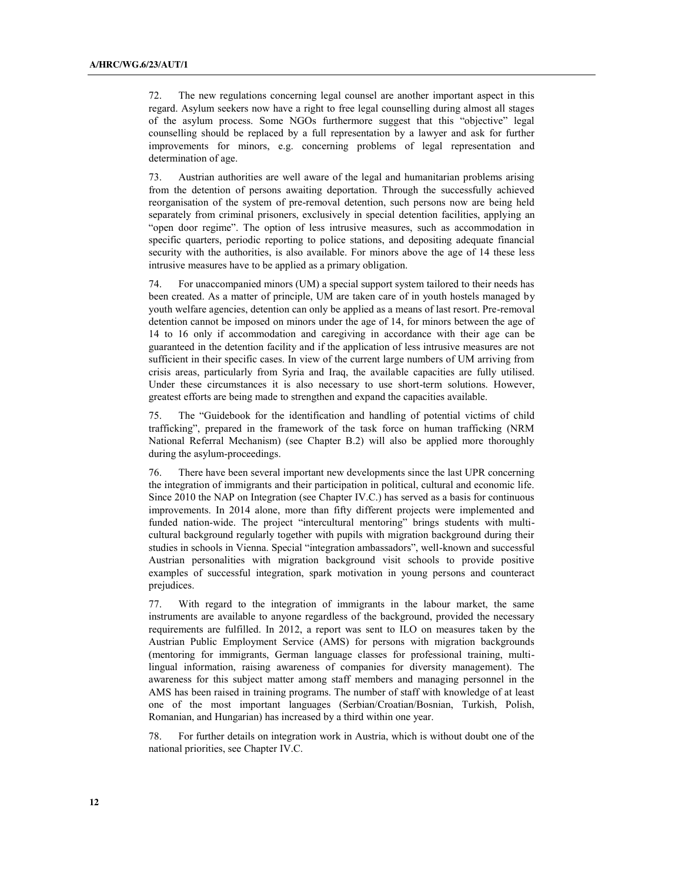72. The new regulations concerning legal counsel are another important aspect in this regard. Asylum seekers now have a right to free legal counselling during almost all stages of the asylum process. Some NGOs furthermore suggest that this "objective" legal counselling should be replaced by a full representation by a lawyer and ask for further improvements for minors, e.g. concerning problems of legal representation and determination of age.

73. Austrian authorities are well aware of the legal and humanitarian problems arising from the detention of persons awaiting deportation. Through the successfully achieved reorganisation of the system of pre-removal detention, such persons now are being held separately from criminal prisoners, exclusively in special detention facilities, applying an "open door regime". The option of less intrusive measures, such as accommodation in specific quarters, periodic reporting to police stations, and depositing adequate financial security with the authorities, is also available. For minors above the age of 14 these less intrusive measures have to be applied as a primary obligation.

74. For unaccompanied minors (UM) a special support system tailored to their needs has been created. As a matter of principle, UM are taken care of in youth hostels managed by youth welfare agencies, detention can only be applied as a means of last resort. Pre-removal detention cannot be imposed on minors under the age of 14, for minors between the age of 14 to 16 only if accommodation and caregiving in accordance with their age can be guaranteed in the detention facility and if the application of less intrusive measures are not sufficient in their specific cases. In view of the current large numbers of UM arriving from crisis areas, particularly from Syria and Iraq, the available capacities are fully utilised. Under these circumstances it is also necessary to use short-term solutions. However, greatest efforts are being made to strengthen and expand the capacities available.

75. The "Guidebook for the identification and handling of potential victims of child trafficking", prepared in the framework of the task force on human trafficking (NRM National Referral Mechanism) (see Chapter B.2) will also be applied more thoroughly during the asylum-proceedings.

76. There have been several important new developments since the last UPR concerning the integration of immigrants and their participation in political, cultural and economic life. Since 2010 the NAP on Integration (see Chapter IV.C.) has served as a basis for continuous improvements. In 2014 alone, more than fifty different projects were implemented and funded nation-wide. The project "intercultural mentoring" brings students with multicultural background regularly together with pupils with migration background during their studies in schools in Vienna. Special "integration ambassadors", well-known and successful Austrian personalities with migration background visit schools to provide positive examples of successful integration, spark motivation in young persons and counteract prejudices.

77. With regard to the integration of immigrants in the labour market, the same instruments are available to anyone regardless of the background, provided the necessary requirements are fulfilled. In 2012, a report was sent to ILO on measures taken by the Austrian Public Employment Service (AMS) for persons with migration backgrounds (mentoring for immigrants, German language classes for professional training, multilingual information, raising awareness of companies for diversity management). The awareness for this subject matter among staff members and managing personnel in the AMS has been raised in training programs. The number of staff with knowledge of at least one of the most important languages (Serbian/Croatian/Bosnian, Turkish, Polish, Romanian, and Hungarian) has increased by a third within one year.

78. For further details on integration work in Austria, which is without doubt one of the national priorities, see Chapter IV.C.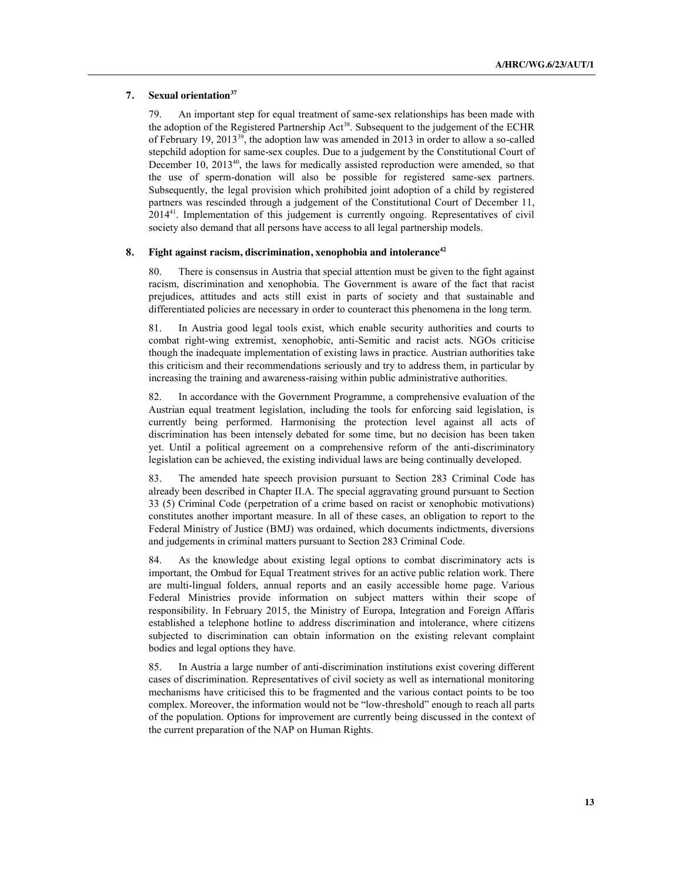#### **7. Sexual orientation37**

79. An important step for equal treatment of same-sex relationships has been made with the adoption of the Registered Partnership Act<sup>38</sup>. Subsequent to the judgement of the ECHR of February 19, 201339, the adoption law was amended in 2013 in order to allow a so-called stepchild adoption for same-sex couples. Due to a judgement by the Constitutional Court of December 10, 2013<sup>40</sup>, the laws for medically assisted reproduction were amended, so that the use of sperm-donation will also be possible for registered same-sex partners. Subsequently, the legal provision which prohibited joint adoption of a child by registered partners was rescinded through a judgement of the Constitutional Court of December 11, 201441. Implementation of this judgement is currently ongoing. Representatives of civil society also demand that all persons have access to all legal partnership models.

## **8.** Fight against racism, discrimination, xenophobia and intolerance<sup>42</sup>

80. There is consensus in Austria that special attention must be given to the fight against racism, discrimination and xenophobia. The Government is aware of the fact that racist prejudices, attitudes and acts still exist in parts of society and that sustainable and differentiated policies are necessary in order to counteract this phenomena in the long term.

81. In Austria good legal tools exist, which enable security authorities and courts to combat right-wing extremist, xenophobic, anti-Semitic and racist acts. NGOs criticise though the inadequate implementation of existing laws in practice. Austrian authorities take this criticism and their recommendations seriously and try to address them, in particular by increasing the training and awareness-raising within public administrative authorities.

82. In accordance with the Government Programme, a comprehensive evaluation of the Austrian equal treatment legislation, including the tools for enforcing said legislation, is currently being performed. Harmonising the protection level against all acts of discrimination has been intensely debated for some time, but no decision has been taken yet. Until a political agreement on a comprehensive reform of the anti-discriminatory legislation can be achieved, the existing individual laws are being continually developed.

83. The amended hate speech provision pursuant to Section 283 Criminal Code has already been described in Chapter II.A. The special aggravating ground pursuant to Section 33 (5) Criminal Code (perpetration of a crime based on racist or xenophobic motivations) constitutes another important measure. In all of these cases, an obligation to report to the Federal Ministry of Justice (BMJ) was ordained, which documents indictments, diversions and judgements in criminal matters pursuant to Section 283 Criminal Code.

84. As the knowledge about existing legal options to combat discriminatory acts is important, the Ombud for Equal Treatment strives for an active public relation work. There are multi-lingual folders, annual reports and an easily accessible home page. Various Federal Ministries provide information on subject matters within their scope of responsibility. In February 2015, the Ministry of Europa, Integration and Foreign Affaris established a telephone hotline to address discrimination and intolerance, where citizens subjected to discrimination can obtain information on the existing relevant complaint bodies and legal options they have.

85. In Austria a large number of anti-discrimination institutions exist covering different cases of discrimination. Representatives of civil society as well as international monitoring mechanisms have criticised this to be fragmented and the various contact points to be too complex. Moreover, the information would not be "low-threshold" enough to reach all parts of the population. Options for improvement are currently being discussed in the context of the current preparation of the NAP on Human Rights.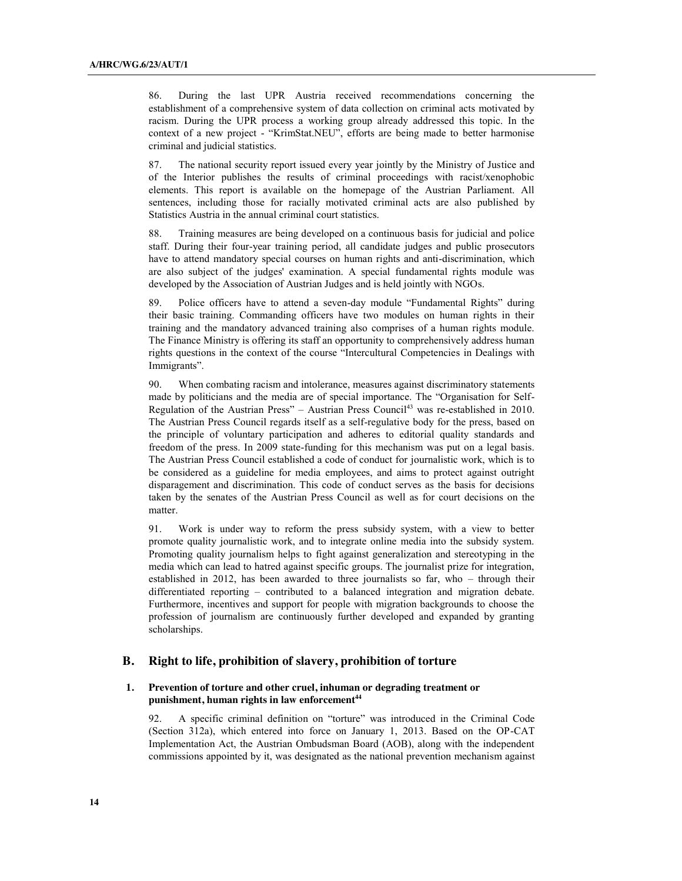86. During the last UPR Austria received recommendations concerning the establishment of a comprehensive system of data collection on criminal acts motivated by racism. During the UPR process a working group already addressed this topic. In the context of a new project - "KrimStat.NEU", efforts are being made to better harmonise criminal and judicial statistics.

87. The national security report issued every year jointly by the Ministry of Justice and of the Interior publishes the results of criminal proceedings with racist/xenophobic elements. This report is available on the homepage of the Austrian Parliament. All sentences, including those for racially motivated criminal acts are also published by Statistics Austria in the annual criminal court statistics.

88. Training measures are being developed on a continuous basis for judicial and police staff. During their four-year training period, all candidate judges and public prosecutors have to attend mandatory special courses on human rights and anti-discrimination, which are also subject of the judges' examination. A special fundamental rights module was developed by the Association of Austrian Judges and is held jointly with NGOs.

89. Police officers have to attend a seven-day module "Fundamental Rights" during their basic training. Commanding officers have two modules on human rights in their training and the mandatory advanced training also comprises of a human rights module. The Finance Ministry is offering its staff an opportunity to comprehensively address human rights questions in the context of the course "Intercultural Competencies in Dealings with Immigrants".

90. When combating racism and intolerance, measures against discriminatory statements made by politicians and the media are of special importance. The "Organisation for Self-Regulation of the Austrian Press" – Austrian Press Council<sup>43</sup> was re-established in 2010. The Austrian Press Council regards itself as a self-regulative body for the press, based on the principle of voluntary participation and adheres to editorial quality standards and freedom of the press. In 2009 state-funding for this mechanism was put on a legal basis. The Austrian Press Council established a code of conduct for journalistic work, which is to be considered as a guideline for media employees, and aims to protect against outright disparagement and discrimination. This code of conduct serves as the basis for decisions taken by the senates of the Austrian Press Council as well as for court decisions on the matter.

91. Work is under way to reform the press subsidy system, with a view to better promote quality journalistic work, and to integrate online media into the subsidy system. Promoting quality journalism helps to fight against generalization and stereotyping in the media which can lead to hatred against specific groups. The journalist prize for integration, established in 2012, has been awarded to three journalists so far, who – through their differentiated reporting – contributed to a balanced integration and migration debate. Furthermore, incentives and support for people with migration backgrounds to choose the profession of journalism are continuously further developed and expanded by granting scholarships.

## **B. Right to life, prohibition of slavery, prohibition of torture**

#### **1. Prevention of torture and other cruel, inhuman or degrading treatment or**  punishment, human rights in law enforcement<sup>44</sup>

92. A specific criminal definition on "torture" was introduced in the Criminal Code (Section 312a), which entered into force on January 1, 2013. Based on the OP-CAT Implementation Act, the Austrian Ombudsman Board (AOB), along with the independent commissions appointed by it, was designated as the national prevention mechanism against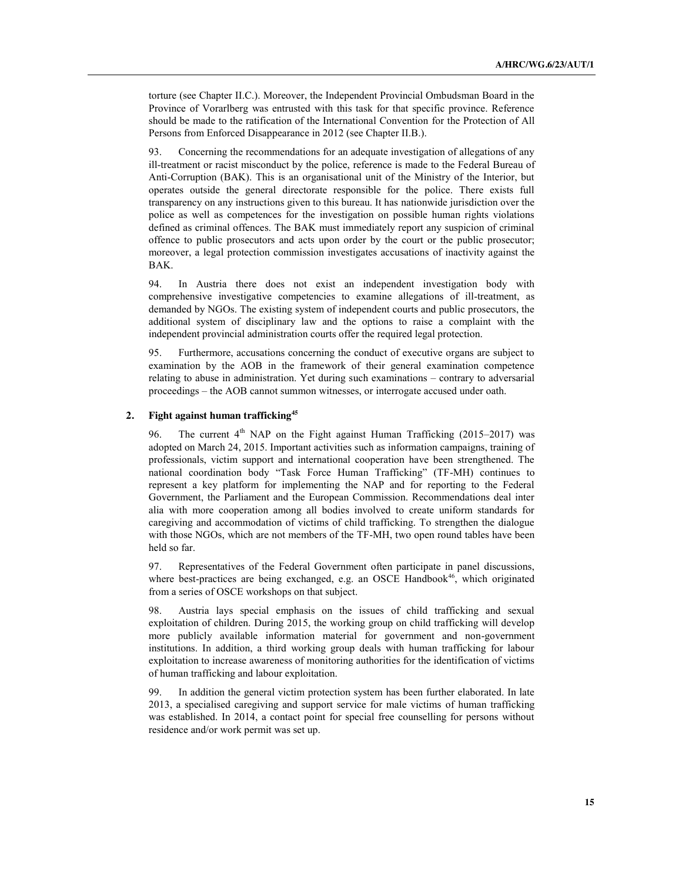torture (see Chapter II.C.). Moreover, the Independent Provincial Ombudsman Board in the Province of Vorarlberg was entrusted with this task for that specific province. Reference should be made to the ratification of the International Convention for the Protection of All Persons from Enforced Disappearance in 2012 (see Chapter II.B.).

93. Concerning the recommendations for an adequate investigation of allegations of any ill-treatment or racist misconduct by the police, reference is made to the Federal Bureau of Anti-Corruption (BAK). This is an organisational unit of the Ministry of the Interior, but operates outside the general directorate responsible for the police. There exists full transparency on any instructions given to this bureau. It has nationwide jurisdiction over the police as well as competences for the investigation on possible human rights violations defined as criminal offences. The BAK must immediately report any suspicion of criminal offence to public prosecutors and acts upon order by the court or the public prosecutor; moreover, a legal protection commission investigates accusations of inactivity against the BAK.

94. In Austria there does not exist an independent investigation body with comprehensive investigative competencies to examine allegations of ill-treatment, as demanded by NGOs. The existing system of independent courts and public prosecutors, the additional system of disciplinary law and the options to raise a complaint with the independent provincial administration courts offer the required legal protection.

95. Furthermore, accusations concerning the conduct of executive organs are subject to examination by the AOB in the framework of their general examination competence relating to abuse in administration. Yet during such examinations – contrary to adversarial proceedings – the AOB cannot summon witnesses, or interrogate accused under oath.

## **2. Fight against human trafficking45**

96. The current  $4<sup>th</sup>$  NAP on the Fight against Human Trafficking (2015–2017) was adopted on March 24, 2015. Important activities such as information campaigns, training of professionals, victim support and international cooperation have been strengthened. The national coordination body "Task Force Human Trafficking" (TF-MH) continues to represent a key platform for implementing the NAP and for reporting to the Federal Government, the Parliament and the European Commission. Recommendations deal inter alia with more cooperation among all bodies involved to create uniform standards for caregiving and accommodation of victims of child trafficking. To strengthen the dialogue with those NGOs, which are not members of the TF-MH, two open round tables have been held so far.

97. Representatives of the Federal Government often participate in panel discussions, where best-practices are being exchanged, e.g. an OSCE Handbook<sup>46</sup>, which originated from a series of OSCE workshops on that subject.

Austria lays special emphasis on the issues of child trafficking and sexual exploitation of children. During 2015, the working group on child trafficking will develop more publicly available information material for government and non-government institutions. In addition, a third working group deals with human trafficking for labour exploitation to increase awareness of monitoring authorities for the identification of victims of human trafficking and labour exploitation.

99. In addition the general victim protection system has been further elaborated. In late 2013, a specialised caregiving and support service for male victims of human trafficking was established. In 2014, a contact point for special free counselling for persons without residence and/or work permit was set up.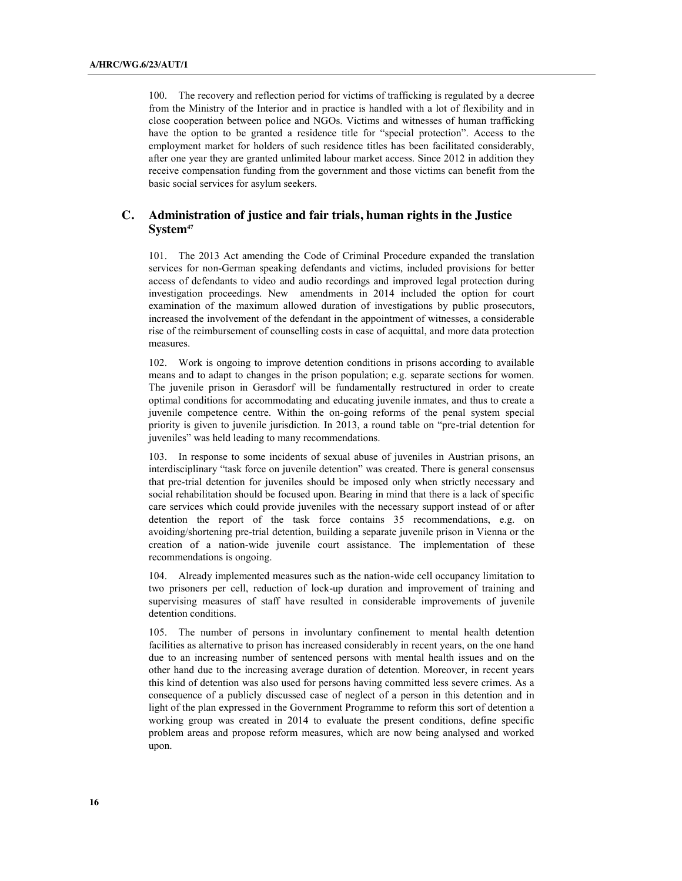100. The recovery and reflection period for victims of trafficking is regulated by a decree from the Ministry of the Interior and in practice is handled with a lot of flexibility and in close cooperation between police and NGOs. Victims and witnesses of human trafficking have the option to be granted a residence title for "special protection". Access to the employment market for holders of such residence titles has been facilitated considerably, after one year they are granted unlimited labour market access. Since 2012 in addition they receive compensation funding from the government and those victims can benefit from the basic social services for asylum seekers.

## **C. Administration of justice and fair trials, human rights in the Justice System47**

101. The 2013 Act amending the Code of Criminal Procedure expanded the translation services for non-German speaking defendants and victims, included provisions for better access of defendants to video and audio recordings and improved legal protection during investigation proceedings. New amendments in 2014 included the option for court examination of the maximum allowed duration of investigations by public prosecutors, increased the involvement of the defendant in the appointment of witnesses, a considerable rise of the reimbursement of counselling costs in case of acquittal, and more data protection measures.

102. Work is ongoing to improve detention conditions in prisons according to available means and to adapt to changes in the prison population; e.g. separate sections for women. The juvenile prison in Gerasdorf will be fundamentally restructured in order to create optimal conditions for accommodating and educating juvenile inmates, and thus to create a juvenile competence centre. Within the on-going reforms of the penal system special priority is given to juvenile jurisdiction. In 2013, a round table on "pre-trial detention for juveniles" was held leading to many recommendations.

103. In response to some incidents of sexual abuse of juveniles in Austrian prisons, an interdisciplinary "task force on juvenile detention" was created. There is general consensus that pre-trial detention for juveniles should be imposed only when strictly necessary and social rehabilitation should be focused upon. Bearing in mind that there is a lack of specific care services which could provide juveniles with the necessary support instead of or after detention the report of the task force contains 35 recommendations, e.g. on avoiding/shortening pre-trial detention, building a separate juvenile prison in Vienna or the creation of a nation-wide juvenile court assistance. The implementation of these recommendations is ongoing.

104. Already implemented measures such as the nation-wide cell occupancy limitation to two prisoners per cell, reduction of lock-up duration and improvement of training and supervising measures of staff have resulted in considerable improvements of juvenile detention conditions.

105. The number of persons in involuntary confinement to mental health detention facilities as alternative to prison has increased considerably in recent years, on the one hand due to an increasing number of sentenced persons with mental health issues and on the other hand due to the increasing average duration of detention. Moreover, in recent years this kind of detention was also used for persons having committed less severe crimes. As a consequence of a publicly discussed case of neglect of a person in this detention and in light of the plan expressed in the Government Programme to reform this sort of detention a working group was created in 2014 to evaluate the present conditions, define specific problem areas and propose reform measures, which are now being analysed and worked upon.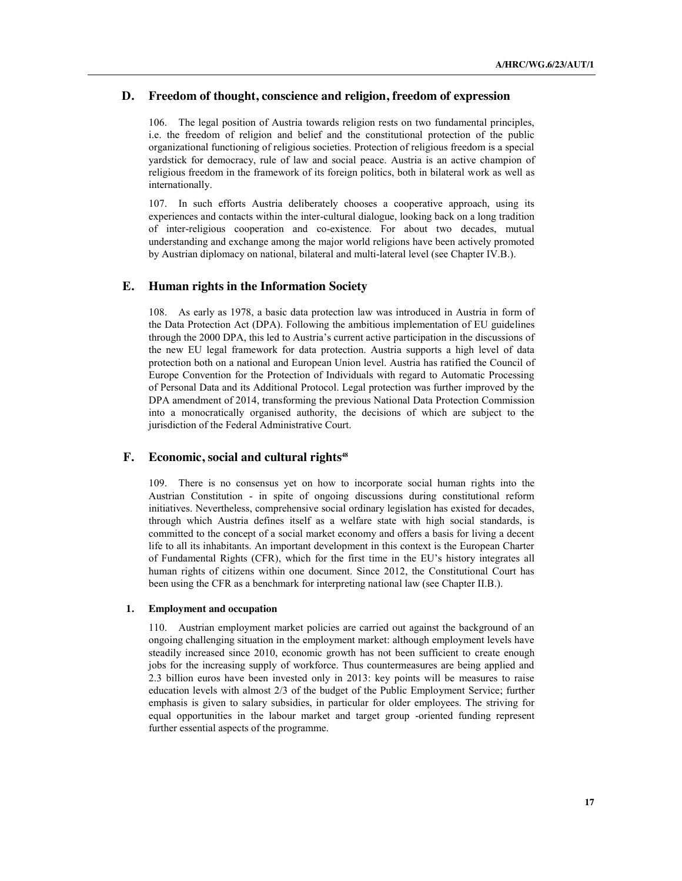## **D. Freedom of thought, conscience and religion, freedom of expression**

106. The legal position of Austria towards religion rests on two fundamental principles, i.e. the freedom of religion and belief and the constitutional protection of the public organizational functioning of religious societies. Protection of religious freedom is a special yardstick for democracy, rule of law and social peace. Austria is an active champion of religious freedom in the framework of its foreign politics, both in bilateral work as well as internationally.

107. In such efforts Austria deliberately chooses a cooperative approach, using its experiences and contacts within the inter-cultural dialogue, looking back on a long tradition of inter-religious cooperation and co-existence. For about two decades, mutual understanding and exchange among the major world religions have been actively promoted by Austrian diplomacy on national, bilateral and multi-lateral level (see Chapter IV.B.).

## **E. Human rights in the Information Society**

108. As early as 1978, a basic data protection law was introduced in Austria in form of the Data Protection Act (DPA). Following the ambitious implementation of EU guidelines through the 2000 DPA, this led to Austria's current active participation in the discussions of the new EU legal framework for data protection. Austria supports a high level of data protection both on a national and European Union level. Austria has ratified the Council of Europe Convention for the Protection of Individuals with regard to Automatic Processing of Personal Data and its Additional Protocol. Legal protection was further improved by the DPA amendment of 2014, transforming the previous National Data Protection Commission into a monocratically organised authority, the decisions of which are subject to the jurisdiction of the Federal Administrative Court.

## **F.** Economic, social and cultural rights<sup>48</sup>

109. There is no consensus yet on how to incorporate social human rights into the Austrian Constitution - in spite of ongoing discussions during constitutional reform initiatives. Nevertheless, comprehensive social ordinary legislation has existed for decades, through which Austria defines itself as a welfare state with high social standards, is committed to the concept of a social market economy and offers a basis for living a decent life to all its inhabitants. An important development in this context is the European Charter of Fundamental Rights (CFR), which for the first time in the EU's history integrates all human rights of citizens within one document. Since 2012, the Constitutional Court has been using the CFR as a benchmark for interpreting national law (see Chapter II.B.).

#### **1. Employment and occupation**

110. Austrian employment market policies are carried out against the background of an ongoing challenging situation in the employment market: although employment levels have steadily increased since 2010, economic growth has not been sufficient to create enough jobs for the increasing supply of workforce. Thus countermeasures are being applied and 2.3 billion euros have been invested only in 2013: key points will be measures to raise education levels with almost 2/3 of the budget of the Public Employment Service; further emphasis is given to salary subsidies, in particular for older employees. The striving for equal opportunities in the labour market and target group -oriented funding represent further essential aspects of the programme.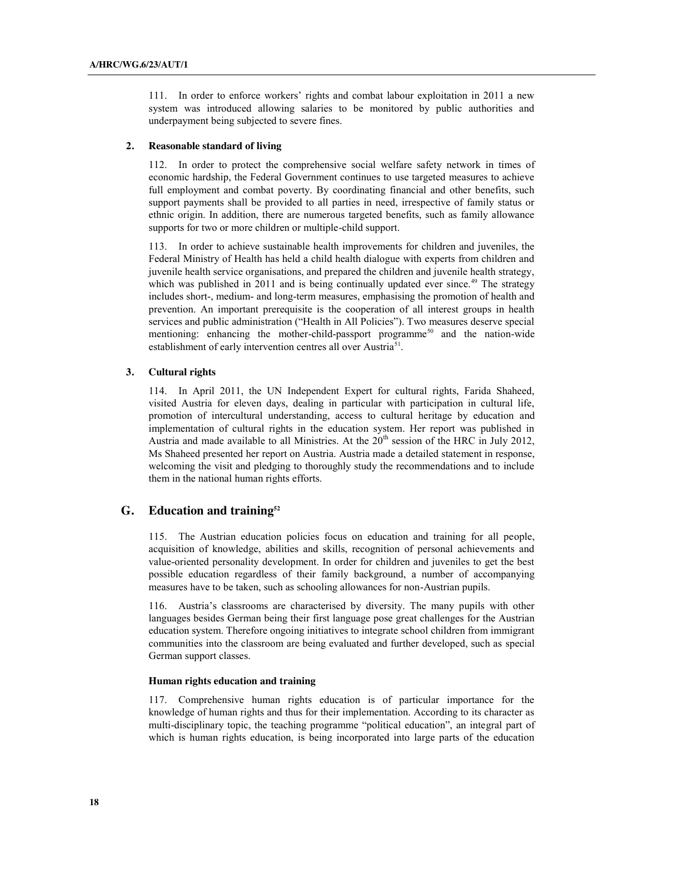111. In order to enforce workers' rights and combat labour exploitation in 2011 a new system was introduced allowing salaries to be monitored by public authorities and underpayment being subjected to severe fines.

#### **2. Reasonable standard of living**

112. In order to protect the comprehensive social welfare safety network in times of economic hardship, the Federal Government continues to use targeted measures to achieve full employment and combat poverty. By coordinating financial and other benefits, such support payments shall be provided to all parties in need, irrespective of family status or ethnic origin. In addition, there are numerous targeted benefits, such as family allowance supports for two or more children or multiple-child support.

113. In order to achieve sustainable health improvements for children and juveniles, the Federal Ministry of Health has held a child health dialogue with experts from children and juvenile health service organisations, and prepared the children and juvenile health strategy, which was published in 2011 and is being continually updated ever since. $49$  The strategy includes short-, medium- and long-term measures, emphasising the promotion of health and prevention. An important prerequisite is the cooperation of all interest groups in health services and public administration ("Health in All Policies"). Two measures deserve special mentioning: enhancing the mother-child-passport programme<sup>50</sup> and the nation-wide establishment of early intervention centres all over Austria<sup>51</sup>.

#### **3. Cultural rights**

114. In April 2011, the UN Independent Expert for cultural rights, Farida Shaheed, visited Austria for eleven days, dealing in particular with participation in cultural life, promotion of intercultural understanding, access to cultural heritage by education and implementation of cultural rights in the education system. Her report was published in Austria and made available to all Ministries. At the  $20<sup>th</sup>$  session of the HRC in July 2012, Ms Shaheed presented her report on Austria. Austria made a detailed statement in response, welcoming the visit and pledging to thoroughly study the recommendations and to include them in the national human rights efforts.

## **G. Education and training52**

115. The Austrian education policies focus on education and training for all people, acquisition of knowledge, abilities and skills, recognition of personal achievements and value-oriented personality development. In order for children and juveniles to get the best possible education regardless of their family background, a number of accompanying measures have to be taken, such as schooling allowances for non-Austrian pupils.

116. Austria's classrooms are characterised by diversity. The many pupils with other languages besides German being their first language pose great challenges for the Austrian education system. Therefore ongoing initiatives to integrate school children from immigrant communities into the classroom are being evaluated and further developed, such as special German support classes.

#### **Human rights education and training**

117. Comprehensive human rights education is of particular importance for the knowledge of human rights and thus for their implementation. According to its character as multi-disciplinary topic, the teaching programme "political education", an integral part of which is human rights education, is being incorporated into large parts of the education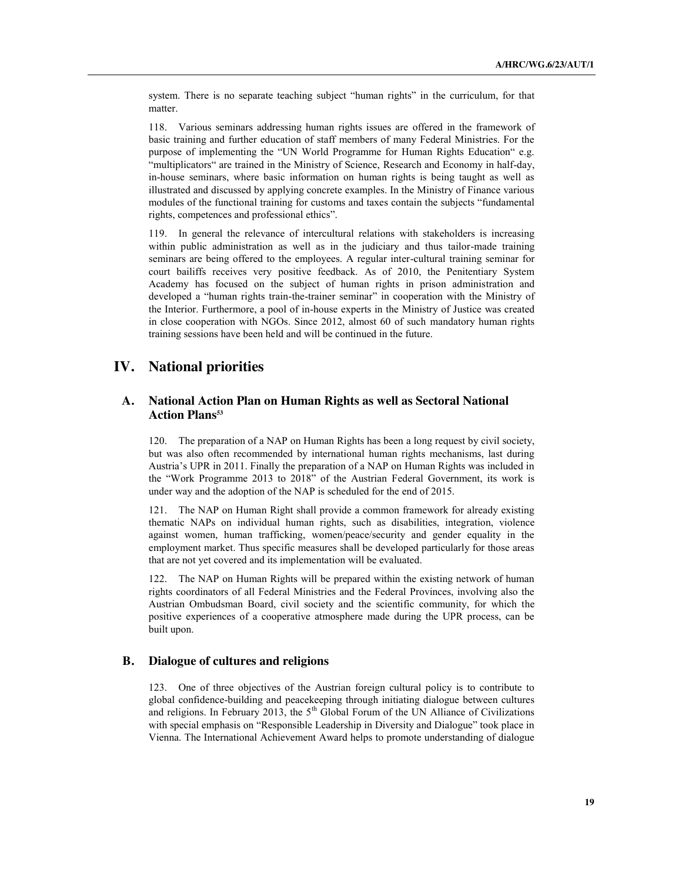system. There is no separate teaching subject "human rights" in the curriculum, for that matter.

118. Various seminars addressing human rights issues are offered in the framework of basic training and further education of staff members of many Federal Ministries. For the purpose of implementing the "UN World Programme for Human Rights Education" e.g. "multiplicators" are trained in the Ministry of Science, Research and Economy in half-day, in-house seminars, where basic information on human rights is being taught as well as illustrated and discussed by applying concrete examples. In the Ministry of Finance various modules of the functional training for customs and taxes contain the subjects "fundamental rights, competences and professional ethics".

119. In general the relevance of intercultural relations with stakeholders is increasing within public administration as well as in the judiciary and thus tailor-made training seminars are being offered to the employees. A regular inter-cultural training seminar for court bailiffs receives very positive feedback. As of 2010, the Penitentiary System Academy has focused on the subject of human rights in prison administration and developed a "human rights train-the-trainer seminar" in cooperation with the Ministry of the Interior. Furthermore, a pool of in-house experts in the Ministry of Justice was created in close cooperation with NGOs. Since 2012, almost 60 of such mandatory human rights training sessions have been held and will be continued in the future.

# **IV. National priorities**

## **A. National Action Plan on Human Rights as well as Sectoral National**  Action Plans<sup>53</sup>

120. The preparation of a NAP on Human Rights has been a long request by civil society, but was also often recommended by international human rights mechanisms, last during Austria's UPR in 2011. Finally the preparation of a NAP on Human Rights was included in the "Work Programme 2013 to 2018" of the Austrian Federal Government, its work is under way and the adoption of the NAP is scheduled for the end of 2015.

121. The NAP on Human Right shall provide a common framework for already existing thematic NAPs on individual human rights, such as disabilities, integration, violence against women, human trafficking, women/peace/security and gender equality in the employment market. Thus specific measures shall be developed particularly for those areas that are not yet covered and its implementation will be evaluated.

122. The NAP on Human Rights will be prepared within the existing network of human rights coordinators of all Federal Ministries and the Federal Provinces, involving also the Austrian Ombudsman Board, civil society and the scientific community, for which the positive experiences of a cooperative atmosphere made during the UPR process, can be built upon.

## **B. Dialogue of cultures and religions**

123. One of three objectives of the Austrian foreign cultural policy is to contribute to global confidence-building and peacekeeping through initiating dialogue between cultures and religions. In February 2013, the  $5<sup>th</sup>$  Global Forum of the UN Alliance of Civilizations with special emphasis on "Responsible Leadership in Diversity and Dialogue" took place in Vienna. The International Achievement Award helps to promote understanding of dialogue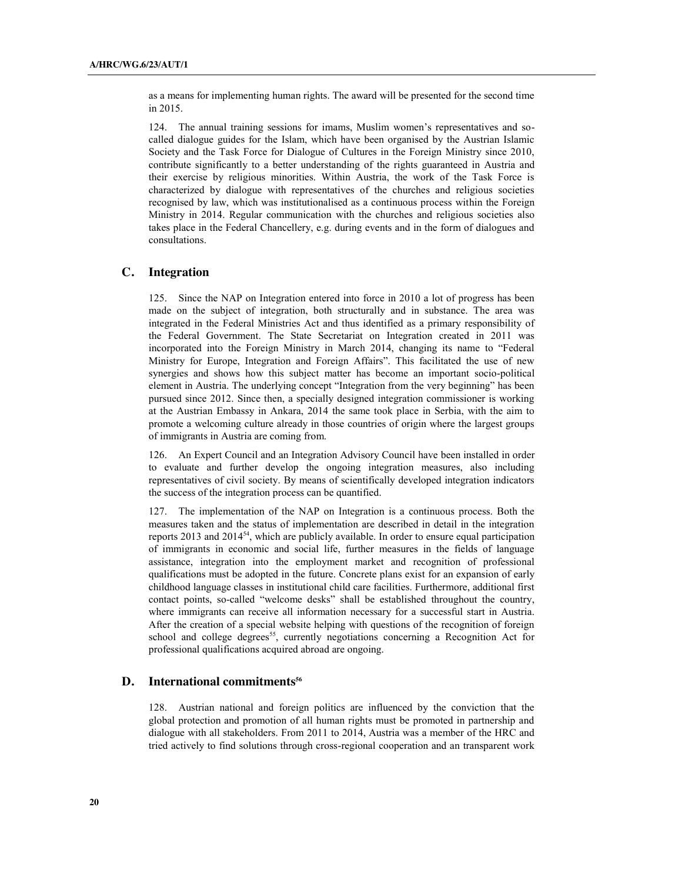as a means for implementing human rights. The award will be presented for the second time in 2015.

124. The annual training sessions for imams, Muslim women's representatives and socalled dialogue guides for the Islam, which have been organised by the Austrian Islamic Society and the Task Force for Dialogue of Cultures in the Foreign Ministry since 2010, contribute significantly to a better understanding of the rights guaranteed in Austria and their exercise by religious minorities. Within Austria, the work of the Task Force is characterized by dialogue with representatives of the churches and religious societies recognised by law, which was institutionalised as a continuous process within the Foreign Ministry in 2014. Regular communication with the churches and religious societies also takes place in the Federal Chancellery, e.g. during events and in the form of dialogues and consultations.

## **C. Integration**

125. Since the NAP on Integration entered into force in 2010 a lot of progress has been made on the subject of integration, both structurally and in substance. The area was integrated in the Federal Ministries Act and thus identified as a primary responsibility of the Federal Government. The State Secretariat on Integration created in 2011 was incorporated into the Foreign Ministry in March 2014, changing its name to "Federal Ministry for Europe, Integration and Foreign Affairs". This facilitated the use of new synergies and shows how this subject matter has become an important socio-political element in Austria. The underlying concept "Integration from the very beginning" has been pursued since 2012. Since then, a specially designed integration commissioner is working at the Austrian Embassy in Ankara, 2014 the same took place in Serbia, with the aim to promote a welcoming culture already in those countries of origin where the largest groups of immigrants in Austria are coming from.

126. An Expert Council and an Integration Advisory Council have been installed in order to evaluate and further develop the ongoing integration measures, also including representatives of civil society. By means of scientifically developed integration indicators the success of the integration process can be quantified.

127. The implementation of the NAP on Integration is a continuous process. Both the measures taken and the status of implementation are described in detail in the integration reports 2013 and 2014<sup>54</sup>, which are publicly available. In order to ensure equal participation of immigrants in economic and social life, further measures in the fields of language assistance, integration into the employment market and recognition of professional qualifications must be adopted in the future. Concrete plans exist for an expansion of early childhood language classes in institutional child care facilities. Furthermore, additional first contact points, so-called "welcome desks" shall be established throughout the country, where immigrants can receive all information necessary for a successful start in Austria. After the creation of a special website helping with questions of the recognition of foreign school and college degrees<sup>55</sup>, currently negotiations concerning a Recognition Act for professional qualifications acquired abroad are ongoing.

## **D.** International commitments<sup>56</sup>

128. Austrian national and foreign politics are influenced by the conviction that the global protection and promotion of all human rights must be promoted in partnership and dialogue with all stakeholders. From 2011 to 2014, Austria was a member of the HRC and tried actively to find solutions through cross-regional cooperation and an transparent work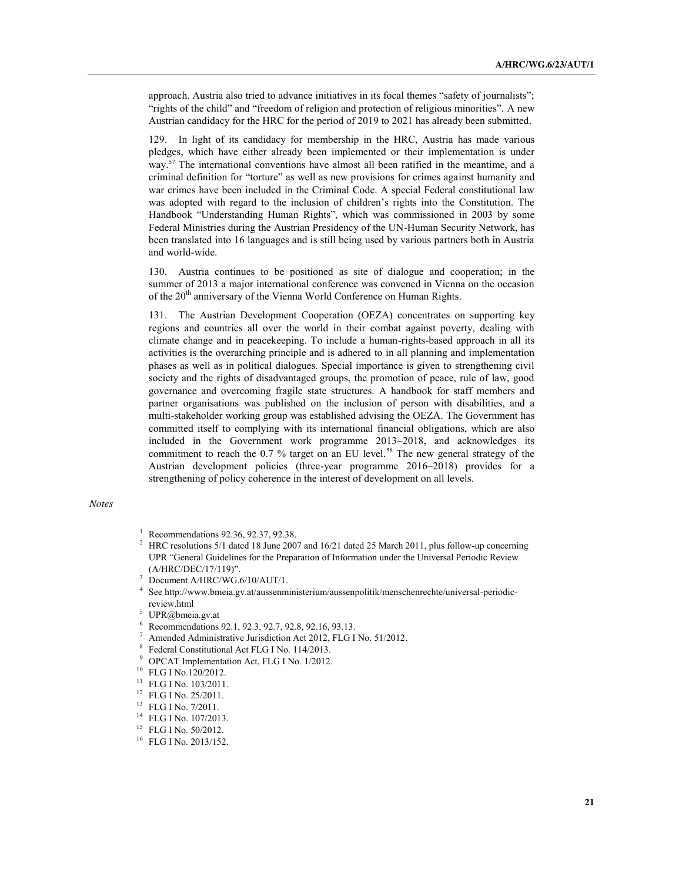approach. Austria also tried to advance initiatives in its focal themes "safety of journalists"; "rights of the child" and "freedom of religion and protection of religious minorities". A new Austrian candidacy for the HRC for the period of 2019 to 2021 has already been submitted.

129. In light of its candidacy for membership in the HRC, Austria has made various pledges, which have either already been implemented or their implementation is under way.<sup>57</sup> The international conventions have almost all been ratified in the meantime, and a criminal definition for "torture" as well as new provisions for crimes against humanity and war crimes have been included in the Criminal Code. A special Federal constitutional law was adopted with regard to the inclusion of children's rights into the Constitution. The Handbook "Understanding Human Rights", which was commissioned in 2003 by some Federal Ministries during the Austrian Presidency of the UN-Human Security Network, has been translated into 16 languages and is still being used by various partners both in Austria and world-wide.

130. Austria continues to be positioned as site of dialogue and cooperation; in the summer of 2013 a major international conference was convened in Vienna on the occasion of the 20<sup>th</sup> anniversary of the Vienna World Conference on Human Rights.

131. The Austrian Development Cooperation (OEZA) concentrates on supporting key regions and countries all over the world in their combat against poverty, dealing with climate change and in peacekeeping. To include a human-rights-based approach in all its activities is the overarching principle and is adhered to in all planning and implementation phases as well as in political dialogues. Special importance is given to strengthening civil society and the rights of disadvantaged groups, the promotion of peace, rule of law, good governance and overcoming fragile state structures. A handbook for staff members and partner organisations was published on the inclusion of person with disabilities, and a multi-stakeholder working group was established advising the OEZA. The Government has committed itself to complying with its international financial obligations, which are also included in the Government work programme 2013–2018, and acknowledges its commitment to reach the 0.7 % target on an EU level.<sup>58</sup> The new general strategy of the Austrian development policies (three-year programme 2016–2018) provides for a strengthening of policy coherence in the interest of development on all levels.

#### *Notes*

- <sup>2</sup> HRC resolutions 5/1 dated 18 June 2007 and 16/21 dated 25 March 2011, plus follow-up concerning UPR "General Guidelines for the Preparation of Information under the Universal Periodic Review (A/HRC/DEC/17/119)".
- <sup>3</sup> Document A/HRC/WG.6/10/AUT/1.
- <sup>4</sup> See http://www.bmeia.gv.at/aussenministerium/aussenpolitik/menschenrechte/universal-periodicreview.html
- <sup>5</sup> UPR@bmeia.gv.at
- <sup>6</sup> Recommendations 92.1, 92.3, 92.7, 92.8, 92.16, 93.13.
- $^7$  Amended Administrative Jurisdiction Act 2012, FLG I No. 51/2012.
- <sup>8</sup> Federal Constitutional Act FLG I No. 114/2013.<br><sup>9</sup> OBC AT Implementation Act, FLG I No. 1/2012.
- <sup>9</sup> OPCAT Implementation Act, FLG I No. 1/2012.
- <sup>10</sup> FLG I No.120/2012.
- <sup>11</sup> FLG I No. 103/2011.
- <sup>12</sup> FLG I No. 25/2011.
- <sup>13</sup> FLG I No. 7/2011.
- <sup>14</sup> FLG I No. 107/2013.
- <sup>15</sup> FLG I No. 50/2012.
- <sup>16</sup> FLG I No. 2013/152.

<sup>&</sup>lt;sup>1</sup> Recommendations 92.36, 92.37, 92.38.